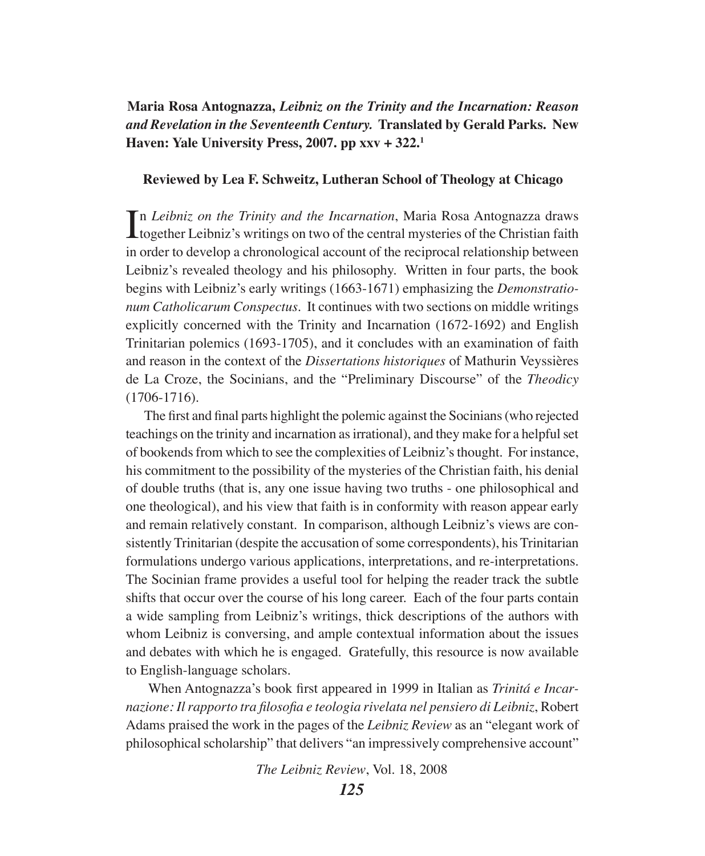**Maria Rosa Antognazza,** *Leibniz on the Trinity and the Incarnation: Reason and Revelation in the Seventeenth Century.* **Translated by Gerald Parks. New Haven: Yale University Press, 2007. pp xxv + 322.1**

#### **Reviewed by Lea F. Schweitz, Lutheran School of Theology at Chicago**

In Leibniz on the Trinity and the Incarnation, Maria Rosa Antognazza draws<br>together Leibniz's writings on two of the central mysteries of the Christian faith n *Leibniz on the Trinity and the Incarnation*, Maria Rosa Antognazza draws in order to develop a chronological account of the reciprocal relationship between Leibniz's revealed theology and his philosophy. Written in four parts, the book begins with Leibniz's early writings (1663-1671) emphasizing the *Demonstrationum Catholicarum Conspectus*. It continues with two sections on middle writings explicitly concerned with the Trinity and Incarnation (1672-1692) and English Trinitarian polemics (1693-1705), and it concludes with an examination of faith and reason in the context of the *Dissertations historiques* of Mathurin Veyssières de La Croze, the Socinians, and the "Preliminary Discourse" of the *Theodicy* (1706-1716).

 The first and final parts highlight the polemic against the Socinians (who rejected teachings on the trinity and incarnation as irrational), and they make for a helpful set of bookends from which to see the complexities of Leibniz's thought. For instance, his commitment to the possibility of the mysteries of the Christian faith, his denial of double truths (that is, any one issue having two truths - one philosophical and one theological), and his view that faith is in conformity with reason appear early and remain relatively constant. In comparison, although Leibniz's views are consistently Trinitarian (despite the accusation of some correspondents), his Trinitarian formulations undergo various applications, interpretations, and re-interpretations. The Socinian frame provides a useful tool for helping the reader track the subtle shifts that occur over the course of his long career. Each of the four parts contain a wide sampling from Leibniz's writings, thick descriptions of the authors with whom Leibniz is conversing, and ample contextual information about the issues and debates with which he is engaged. Gratefully, this resource is now available to English-language scholars.

 When Antognazza's book first appeared in 1999 in Italian as *Trinitá e Incarnazione: Il rapporto tra filosofia e teologia rivelata nel pensiero di Leibniz*, Robert Adams praised the work in the pages of the *Leibniz Review* as an "elegant work of philosophical scholarship" that delivers "an impressively comprehensive account"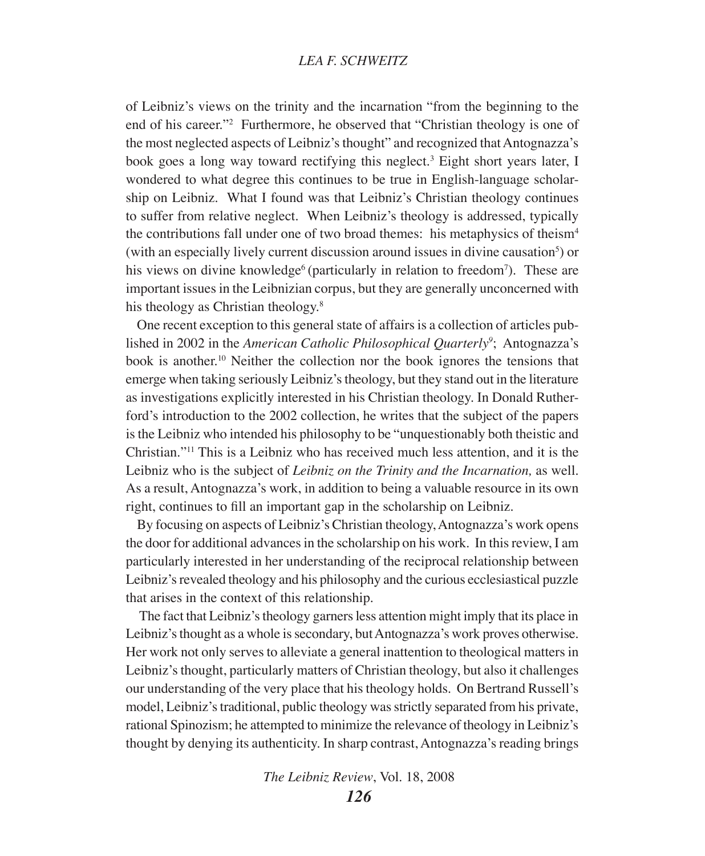of Leibniz's views on the trinity and the incarnation "from the beginning to the end of his career."<sup>2</sup> Furthermore, he observed that "Christian theology is one of the most neglected aspects of Leibniz's thought" and recognized that Antognazza's book goes a long way toward rectifying this neglect.<sup>3</sup> Eight short years later, I wondered to what degree this continues to be true in English-language scholarship on Leibniz. What I found was that Leibniz's Christian theology continues to suffer from relative neglect. When Leibniz's theology is addressed, typically the contributions fall under one of two broad themes: his metaphysics of theism<sup>4</sup> (with an especially lively current discussion around issues in divine causation<sup>5</sup>) or his views on divine knowledge<sup>6</sup> (particularly in relation to freedom<sup>7</sup>). These are important issues in the Leibnizian corpus, but they are generally unconcerned with his theology as Christian theology.<sup>8</sup>

One recent exception to this general state of affairs is a collection of articles published in 2002 in the *American Catholic Philosophical Quarterly<sup>9</sup>*; Antognazza's book is another.10 Neither the collection nor the book ignores the tensions that emerge when taking seriously Leibniz's theology, but they stand out in the literature as investigations explicitly interested in his Christian theology. In Donald Rutherford's introduction to the 2002 collection, he writes that the subject of the papers is the Leibniz who intended his philosophy to be "unquestionably both theistic and Christian."11 This is a Leibniz who has received much less attention, and it is the Leibniz who is the subject of *Leibniz on the Trinity and the Incarnation,* as well. As a result, Antognazza's work, in addition to being a valuable resource in its own right, continues to fill an important gap in the scholarship on Leibniz.

By focusing on aspects of Leibniz's Christian theology, Antognazza's work opens the door for additional advances in the scholarship on his work. In this review, I am particularly interested in her understanding of the reciprocal relationship between Leibniz's revealed theology and his philosophy and the curious ecclesiastical puzzle that arises in the context of this relationship.

 The fact that Leibniz's theology garners less attention might imply that its place in Leibniz's thought as a whole is secondary, but Antognazza's work proves otherwise. Her work not only serves to alleviate a general inattention to theological matters in Leibniz's thought, particularly matters of Christian theology, but also it challenges our understanding of the very place that his theology holds. On Bertrand Russell's model, Leibniz's traditional, public theology was strictly separated from his private, rational Spinozism; he attempted to minimize the relevance of theology in Leibniz's thought by denying its authenticity. In sharp contrast, Antognazza's reading brings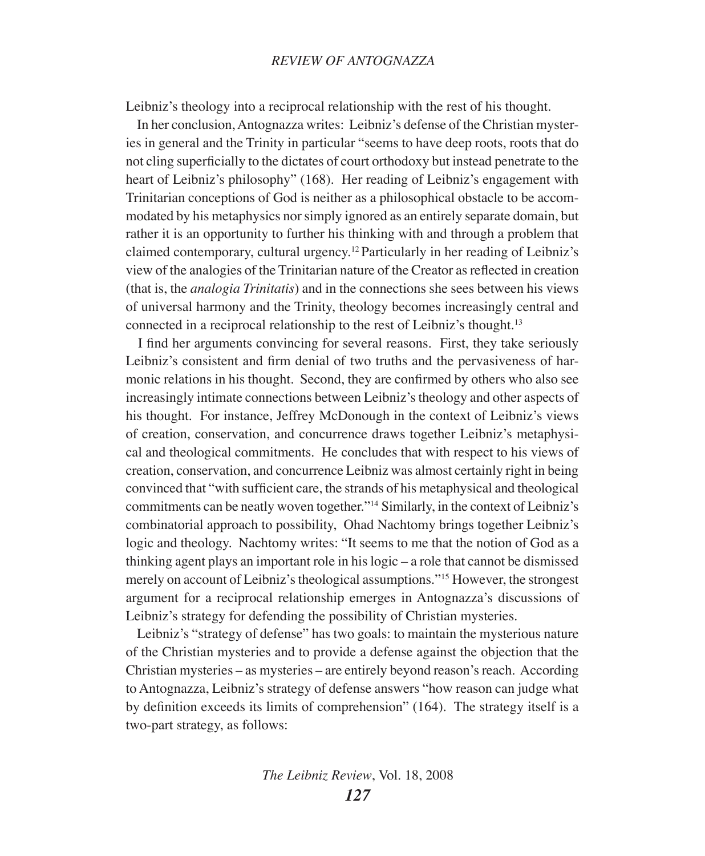Leibniz's theology into a reciprocal relationship with the rest of his thought.

In her conclusion, Antognazza writes: Leibniz's defense of the Christian mysteries in general and the Trinity in particular "seems to have deep roots, roots that do not cling superficially to the dictates of court orthodoxy but instead penetrate to the heart of Leibniz's philosophy" (168). Her reading of Leibniz's engagement with Trinitarian conceptions of God is neither as a philosophical obstacle to be accommodated by his metaphysics nor simply ignored as an entirely separate domain, but rather it is an opportunity to further his thinking with and through a problem that claimed contemporary, cultural urgency.12 Particularly in her reading of Leibniz's view of the analogies of the Trinitarian nature of the Creator as reflected in creation (that is, the *analogia Trinitatis*) and in the connections she sees between his views of universal harmony and the Trinity, theology becomes increasingly central and connected in a reciprocal relationship to the rest of Leibniz's thought.<sup>13</sup>

 I find her arguments convincing for several reasons. First, they take seriously Leibniz's consistent and firm denial of two truths and the pervasiveness of harmonic relations in his thought. Second, they are confirmed by others who also see increasingly intimate connections between Leibniz's theology and other aspects of his thought. For instance, Jeffrey McDonough in the context of Leibniz's views of creation, conservation, and concurrence draws together Leibniz's metaphysical and theological commitments. He concludes that with respect to his views of creation, conservation, and concurrence Leibniz was almost certainly right in being convinced that "with sufficient care, the strands of his metaphysical and theological commitments can be neatly woven together."14 Similarly, in the context of Leibniz's combinatorial approach to possibility, Ohad Nachtomy brings together Leibniz's logic and theology. Nachtomy writes: "It seems to me that the notion of God as a thinking agent plays an important role in his logic – a role that cannot be dismissed merely on account of Leibniz's theological assumptions."15 However, the strongest argument for a reciprocal relationship emerges in Antognazza's discussions of Leibniz's strategy for defending the possibility of Christian mysteries.

Leibniz's "strategy of defense" has two goals: to maintain the mysterious nature of the Christian mysteries and to provide a defense against the objection that the Christian mysteries – as mysteries – are entirely beyond reason's reach. According to Antognazza, Leibniz's strategy of defense answers "how reason can judge what by definition exceeds its limits of comprehension" (164). The strategy itself is a two-part strategy, as follows: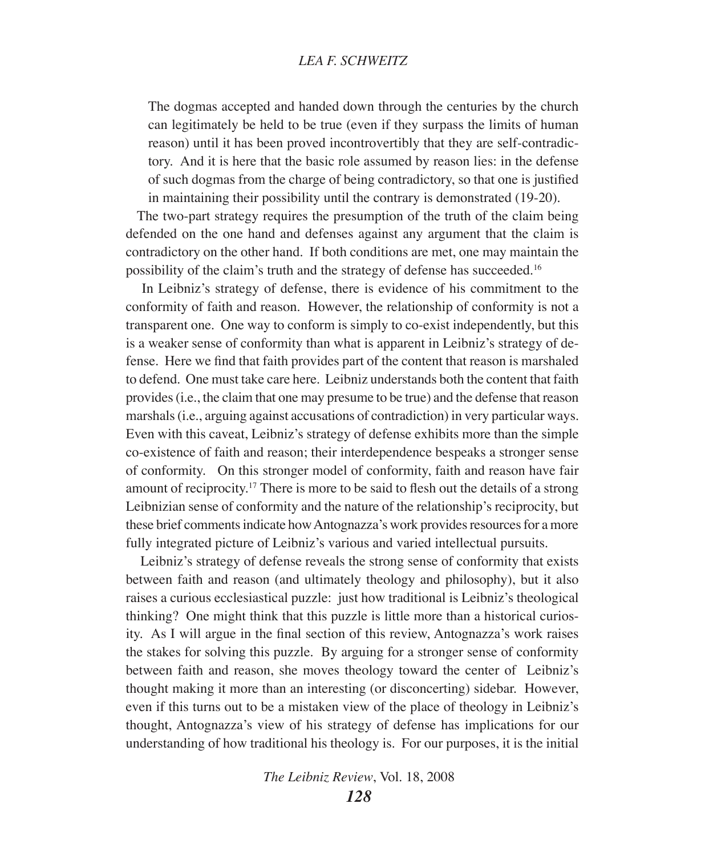The dogmas accepted and handed down through the centuries by the church can legitimately be held to be true (even if they surpass the limits of human reason) until it has been proved incontrovertibly that they are self-contradictory. And it is here that the basic role assumed by reason lies: in the defense of such dogmas from the charge of being contradictory, so that one is justified in maintaining their possibility until the contrary is demonstrated (19-20).

The two-part strategy requires the presumption of the truth of the claim being defended on the one hand and defenses against any argument that the claim is contradictory on the other hand. If both conditions are met, one may maintain the possibility of the claim's truth and the strategy of defense has succeeded.16

 In Leibniz's strategy of defense, there is evidence of his commitment to the conformity of faith and reason. However, the relationship of conformity is not a transparent one. One way to conform is simply to co-exist independently, but this is a weaker sense of conformity than what is apparent in Leibniz's strategy of defense. Here we find that faith provides part of the content that reason is marshaled to defend. One must take care here. Leibniz understands both the content that faith provides (i.e., the claim that one may presume to be true) and the defense that reason marshals (i.e., arguing against accusations of contradiction) in very particular ways. Even with this caveat, Leibniz's strategy of defense exhibits more than the simple co-existence of faith and reason; their interdependence bespeaks a stronger sense of conformity. On this stronger model of conformity, faith and reason have fair amount of reciprocity.<sup>17</sup> There is more to be said to flesh out the details of a strong Leibnizian sense of conformity and the nature of the relationship's reciprocity, but these brief comments indicate how Antognazza's work provides resources for a more fully integrated picture of Leibniz's various and varied intellectual pursuits.

 Leibniz's strategy of defense reveals the strong sense of conformity that exists between faith and reason (and ultimately theology and philosophy), but it also raises a curious ecclesiastical puzzle: just how traditional is Leibniz's theological thinking? One might think that this puzzle is little more than a historical curiosity. As I will argue in the final section of this review, Antognazza's work raises the stakes for solving this puzzle. By arguing for a stronger sense of conformity between faith and reason, she moves theology toward the center of Leibniz's thought making it more than an interesting (or disconcerting) sidebar. However, even if this turns out to be a mistaken view of the place of theology in Leibniz's thought, Antognazza's view of his strategy of defense has implications for our understanding of how traditional his theology is. For our purposes, it is the initial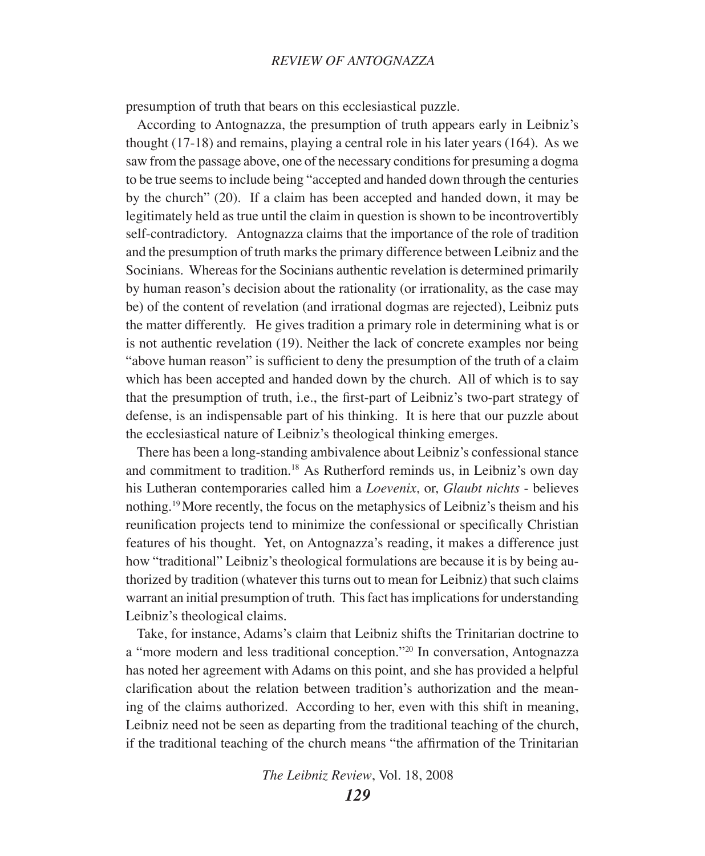#### *Review of Antognazza*

presumption of truth that bears on this ecclesiastical puzzle.

According to Antognazza, the presumption of truth appears early in Leibniz's thought (17-18) and remains, playing a central role in his later years (164). As we saw from the passage above, one of the necessary conditions for presuming a dogma to be true seems to include being "accepted and handed down through the centuries by the church" (20). If a claim has been accepted and handed down, it may be legitimately held as true until the claim in question is shown to be incontrovertibly self-contradictory. Antognazza claims that the importance of the role of tradition and the presumption of truth marks the primary difference between Leibniz and the Socinians. Whereas for the Socinians authentic revelation is determined primarily by human reason's decision about the rationality (or irrationality, as the case may be) of the content of revelation (and irrational dogmas are rejected), Leibniz puts the matter differently. He gives tradition a primary role in determining what is or is not authentic revelation (19). Neither the lack of concrete examples nor being "above human reason" is sufficient to deny the presumption of the truth of a claim which has been accepted and handed down by the church. All of which is to say that the presumption of truth, i.e., the first-part of Leibniz's two-part strategy of defense, is an indispensable part of his thinking. It is here that our puzzle about the ecclesiastical nature of Leibniz's theological thinking emerges.

There has been a long-standing ambivalence about Leibniz's confessional stance and commitment to tradition.18 As Rutherford reminds us, in Leibniz's own day his Lutheran contemporaries called him a *Loevenix*, or, *Glaubt nichts* - believes nothing.19 More recently, the focus on the metaphysics of Leibniz's theism and his reunification projects tend to minimize the confessional or specifically Christian features of his thought. Yet, on Antognazza's reading, it makes a difference just how "traditional" Leibniz's theological formulations are because it is by being authorized by tradition (whatever this turns out to mean for Leibniz) that such claims warrant an initial presumption of truth. This fact has implications for understanding Leibniz's theological claims.

Take, for instance, Adams's claim that Leibniz shifts the Trinitarian doctrine to a "more modern and less traditional conception."20 In conversation, Antognazza has noted her agreement with Adams on this point, and she has provided a helpful clarification about the relation between tradition's authorization and the meaning of the claims authorized. According to her, even with this shift in meaning, Leibniz need not be seen as departing from the traditional teaching of the church, if the traditional teaching of the church means "the affirmation of the Trinitarian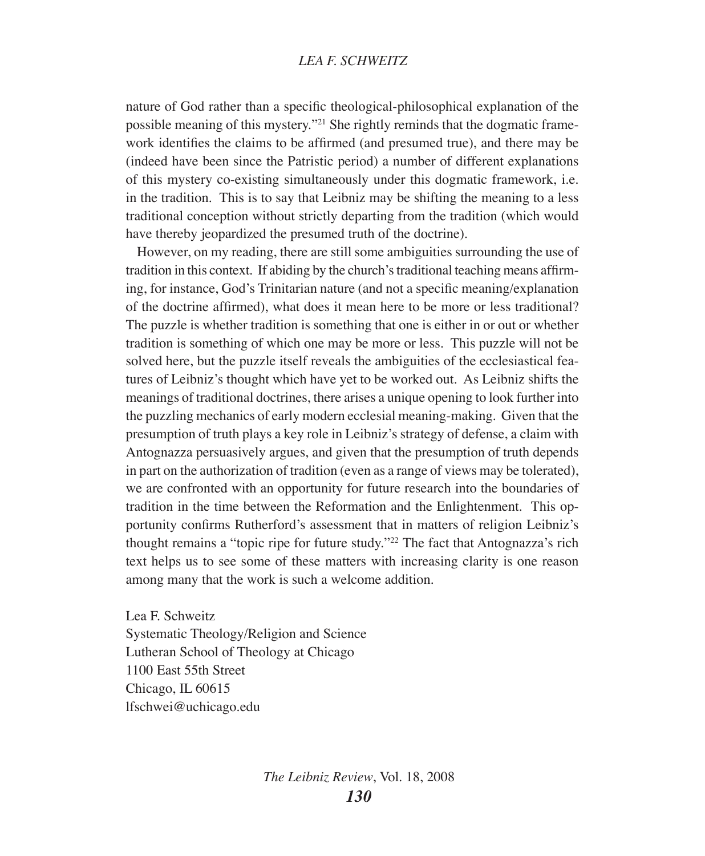nature of God rather than a specific theological-philosophical explanation of the possible meaning of this mystery."21 She rightly reminds that the dogmatic framework identifies the claims to be affirmed (and presumed true), and there may be (indeed have been since the Patristic period) a number of different explanations of this mystery co-existing simultaneously under this dogmatic framework, i.e. in the tradition. This is to say that Leibniz may be shifting the meaning to a less traditional conception without strictly departing from the tradition (which would have thereby jeopardized the presumed truth of the doctrine).

However, on my reading, there are still some ambiguities surrounding the use of tradition in this context. If abiding by the church's traditional teaching means affirming, for instance, God's Trinitarian nature (and not a specific meaning/explanation of the doctrine affirmed), what does it mean here to be more or less traditional? The puzzle is whether tradition is something that one is either in or out or whether tradition is something of which one may be more or less. This puzzle will not be solved here, but the puzzle itself reveals the ambiguities of the ecclesiastical features of Leibniz's thought which have yet to be worked out. As Leibniz shifts the meanings of traditional doctrines, there arises a unique opening to look further into the puzzling mechanics of early modern ecclesial meaning-making. Given that the presumption of truth plays a key role in Leibniz's strategy of defense, a claim with Antognazza persuasively argues, and given that the presumption of truth depends in part on the authorization of tradition (even as a range of views may be tolerated), we are confronted with an opportunity for future research into the boundaries of tradition in the time between the Reformation and the Enlightenment. This opportunity confirms Rutherford's assessment that in matters of religion Leibniz's thought remains a "topic ripe for future study."22 The fact that Antognazza's rich text helps us to see some of these matters with increasing clarity is one reason among many that the work is such a welcome addition.

Lea F. Schweitz Systematic Theology/Religion and Science Lutheran School of Theology at Chicago 1100 East 55th Street Chicago, IL 60615 lfschwei@uchicago.edu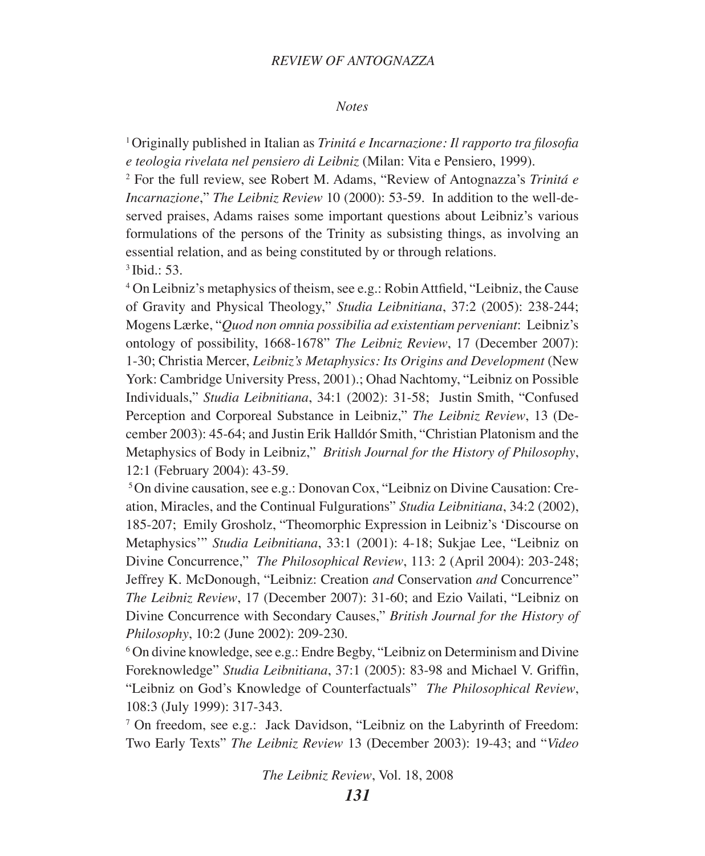#### *Review of Antognazza*

#### *Notes*

<sup>1</sup>Originally published in Italian as *Trinitá e Incarnazione: Il rapporto tra filosofia e teologia rivelata nel pensiero di Leibniz* (Milan: Vita e Pensiero, 1999).

2 For the full review, see Robert M. Adams, "Review of Antognazza's *Trinitá e Incarnazione*," *The Leibniz Review* 10 (2000): 53-59. In addition to the well-deserved praises, Adams raises some important questions about Leibniz's various formulations of the persons of the Trinity as subsisting things, as involving an essential relation, and as being constituted by or through relations. 3 Ibid.: 53.

4 On Leibniz's metaphysics of theism, see e.g.: Robin Attfield, "Leibniz, the Cause of Gravity and Physical Theology," *Studia Leibnitiana*, 37:2 (2005): 238-244; Mogens Lærke, "*Quod non omnia possibilia ad existentiam perveniant*: Leibniz's ontology of possibility, 1668-1678" *The Leibniz Review*, 17 (December 2007): 1-30; Christia Mercer, *Leibniz's Metaphysics: Its Origins and Development* (New York: Cambridge University Press, 2001).; Ohad Nachtomy, "Leibniz on Possible Individuals," *Studia Leibnitiana*, 34:1 (2002): 31-58; Justin Smith, "Confused Perception and Corporeal Substance in Leibniz," *The Leibniz Review*, 13 (December 2003): 45-64; and Justin Erik Halldór Smith, "Christian Platonism and the Metaphysics of Body in Leibniz," *British Journal for the History of Philosophy*, 12:1 (February 2004): 43-59.

5 On divine causation, see e.g.: Donovan Cox, "Leibniz on Divine Causation: Creation, Miracles, and the Continual Fulgurations" *Studia Leibnitiana*, 34:2 (2002), 185-207; Emily Grosholz, "Theomorphic Expression in Leibniz's 'Discourse on Metaphysics'" *Studia Leibnitiana*, 33:1 (2001): 4-18; Sukjae Lee, "Leibniz on Divine Concurrence," *The Philosophical Review*, 113: 2 (April 2004): 203-248; Jeffrey K. McDonough, "Leibniz: Creation *and* Conservation *and* Concurrence" *The Leibniz Review*, 17 (December 2007): 31-60; and Ezio Vailati, "Leibniz on Divine Concurrence with Secondary Causes," *British Journal for the History of Philosophy*, 10:2 (June 2002): 209-230.

6 On divine knowledge, see e.g.: Endre Begby, "Leibniz on Determinism and Divine Foreknowledge" *Studia Leibnitiana*, 37:1 (2005): 83-98 and Michael V. Griffin, "Leibniz on God's Knowledge of Counterfactuals" *The Philosophical Review*, 108:3 (July 1999): 317-343.

7 On freedom, see e.g.: Jack Davidson, "Leibniz on the Labyrinth of Freedom: Two Early Texts" *The Leibniz Review* 13 (December 2003): 19-43; and "*Video*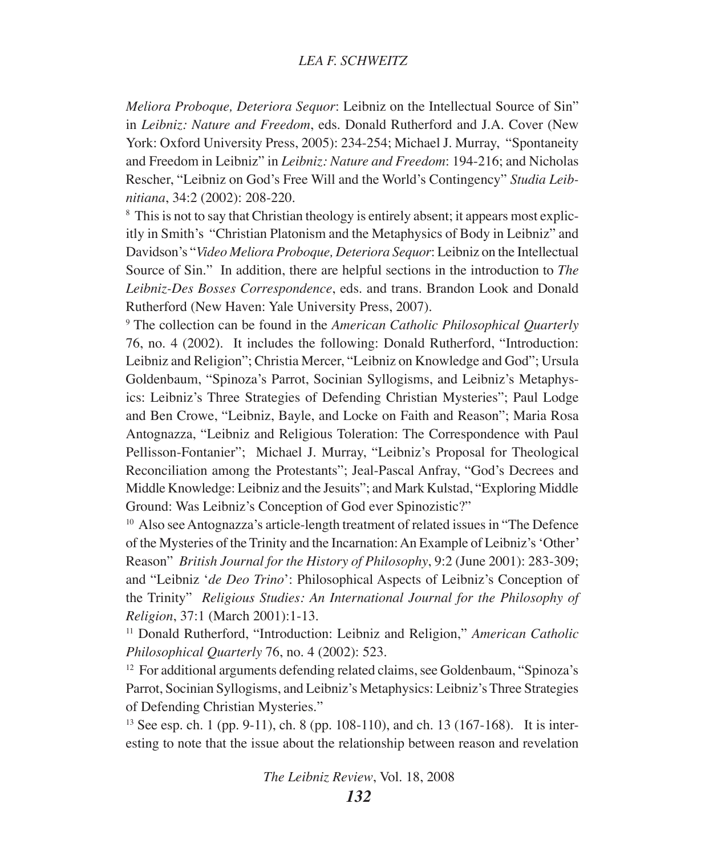*Meliora Proboque, Deteriora Sequor*: Leibniz on the Intellectual Source of Sin" in *Leibniz: Nature and Freedom*, eds. Donald Rutherford and J.A. Cover (New York: Oxford University Press, 2005): 234-254; Michael J. Murray, "Spontaneity and Freedom in Leibniz" in *Leibniz: Nature and Freedom*: 194-216; and Nicholas Rescher, "Leibniz on God's Free Will and the World's Contingency" *Studia Leibnitiana*, 34:2 (2002): 208-220. 8

<sup>8</sup> This is not to say that Christian theology is entirely absent; it appears most explicitly in Smith's "Christian Platonism and the Metaphysics of Body in Leibniz" and Davidson's "*Video Meliora Proboque, Deteriora Sequor*: Leibniz on the Intellectual Source of Sin." In addition, there are helpful sections in the introduction to *The Leibniz-Des Bosses Correspondence*, eds. and trans. Brandon Look and Donald Rutherford (New Haven: Yale University Press, 2007).

9 The collection can be found in the *American Catholic Philosophical Quarterly* 76, no. 4 (2002). It includes the following: Donald Rutherford, "Introduction: Leibniz and Religion"; Christia Mercer, "Leibniz on Knowledge and God"; Ursula Goldenbaum, "Spinoza's Parrot, Socinian Syllogisms, and Leibniz's Metaphysics: Leibniz's Three Strategies of Defending Christian Mysteries"; Paul Lodge and Ben Crowe, "Leibniz, Bayle, and Locke on Faith and Reason"; Maria Rosa Antognazza, "Leibniz and Religious Toleration: The Correspondence with Paul Pellisson-Fontanier"; Michael J. Murray, "Leibniz's Proposal for Theological Reconciliation among the Protestants"; Jeal-Pascal Anfray, "God's Decrees and Middle Knowledge: Leibniz and the Jesuits"; and Mark Kulstad, "Exploring Middle Ground: Was Leibniz's Conception of God ever Spinozistic?"

<sup>10</sup> Also see Antognazza's article-length treatment of related issues in "The Defence" of the Mysteries of the Trinity and the Incarnation: An Example of Leibniz's 'Other' Reason" *British Journal for the History of Philosophy*, 9:2 (June 2001): 283-309; and "Leibniz '*de Deo Trino*': Philosophical Aspects of Leibniz's Conception of the Trinity" *Religious Studies: An International Journal for the Philosophy of Religion*, 37:1 (March 2001):1-13.

<sup>11</sup> Donald Rutherford, "Introduction: Leibniz and Religion," *American Catholic Philosophical Quarterly* 76, no. 4 (2002): 523.

<sup>12</sup> For additional arguments defending related claims, see Goldenbaum, "Spinoza's Parrot, Socinian Syllogisms, and Leibniz's Metaphysics: Leibniz's Three Strategies of Defending Christian Mysteries."

<sup>13</sup> See esp. ch. 1 (pp. 9-11), ch. 8 (pp. 108-110), and ch. 13 (167-168). It is interesting to note that the issue about the relationship between reason and revelation